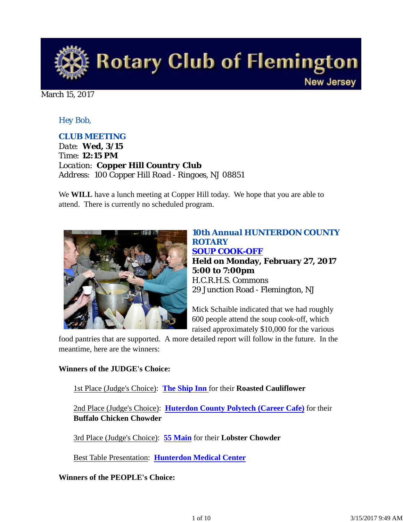

March 15, 2017

#### *Hey Bob,*

#### *CLUB MEETING*

*Date: Wed, 3/15 Time: 12:15 PM Location: Copper Hill Country Club Address: 100 Copper Hill Road - Ringoes, NJ 08851*

We **WILL** have a lunch meeting at Copper Hill today. We hope that you are able to attend. There is currently no scheduled program.



*10th Annual HUNTERDON COUNTY ROTARY SOUP COOK-OFF* **Held on Monday, February 27, 2017 5:00 to 7:00pm** H.C.R.H.S. Commons 29 Junction Road - Flemington, NJ

Mick Schaible indicated that we had roughly 600 people attend the soup cook-off, which raised approximately \$10,000 for the various

food pantries that are supported. A more detailed report will follow in the future. In the meantime, here are the winners:

#### **Winners of the JUDGE's Choice:**

1st Place (Judge's Choice): **The Ship Inn** for their **Roasted Cauliflower** 

2nd Place (Judge's Choice): **Huterdon County Polytech (Career Cafe)** for their **Buffalo Chicken Chowder**

3rd Place (Judge's Choice): **55 Main** for their **Lobster Chowder** 

Best Table Presentation: **Hunterdon Medical Center**

**Winners of the PEOPLE's Choice:**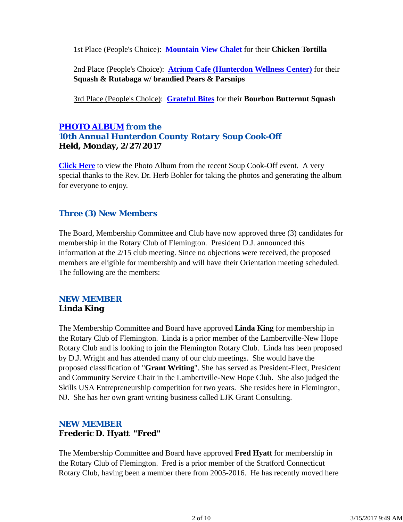1st Place (People's Choice): **Mountain View Chalet** for their **Chicken Tortilla** 

2nd Place (People's Choice): **Atrium Cafe (Hunterdon Wellness Center)** for their **Squash & Rutabaga w/ brandied Pears & Parsnips** 

3rd Place (People's Choice): **Grateful Bites** for their **Bourbon Butternut Squash**

### *PHOTO ALBUM from the 10th Annual Hunterdon County Rotary Soup Cook-Off* **Held, Monday, 2/27/2017**

**Click Here** to view the Photo Album from the recent Soup Cook-Off event. A very special thanks to the Rev. Dr. Herb Bohler for taking the photos and generating the album for everyone to enjoy.

### *Three (3) New Members*

The Board, Membership Committee and Club have now approved three (3) candidates for membership in the Rotary Club of Flemington. President D.J. announced this information at the 2/15 club meeting. Since no objections were received, the proposed members are eligible for membership and will have their Orientation meeting scheduled. The following are the members:

#### *NEW MEMBER* **Linda King**

The Membership Committee and Board have approved **Linda King** for membership in the Rotary Club of Flemington. Linda is a prior member of the Lambertville-New Hope Rotary Club and is looking to join the Flemington Rotary Club. Linda has been proposed by D.J. Wright and has attended many of our club meetings. She would have the proposed classification of "**Grant Writing**". She has served as President-Elect, President and Community Service Chair in the Lambertville-New Hope Club. She also judged the Skills USA Entrepreneurship competition for two years. She resides here in Flemington, NJ. She has her own grant writing business called LJK Grant Consulting.

### *NEW MEMBER* **Frederic D. Hyatt "Fred"**

The Membership Committee and Board have approved **Fred Hyatt** for membership in the Rotary Club of Flemington. Fred is a prior member of the Stratford Connecticut Rotary Club, having been a member there from 2005-2016. He has recently moved here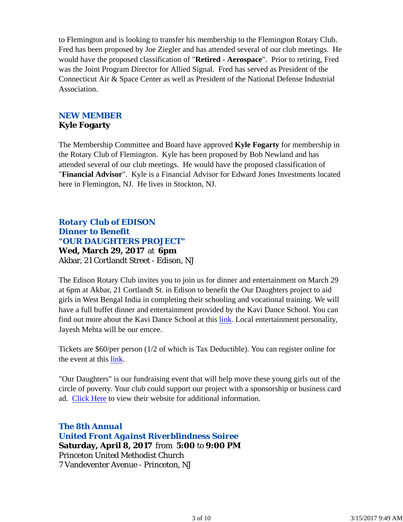to Flemington and is looking to transfer his membership to the Flemington Rotary Club. Fred has been proposed by Joe Ziegler and has attended several of our club meetings. He would have the proposed classification of "**Retired - Aerospace**". Prior to retiring, Fred was the Joint Program Director for Allied Signal. Fred has served as President of the Connecticut Air & Space Center as well as President of the National Defense Industrial Association.

#### *NEW MEMBER* **Kyle Fogarty**

The Membership Committee and Board have approved **Kyle Fogarty** for membership in the Rotary Club of Flemington. Kyle has been proposed by Bob Newland and has attended several of our club meetings. He would have the proposed classification of "**Financial Advisor**". Kyle is a Financial Advisor for Edward Jones Investments located here in Flemington, NJ. He lives in Stockton, NJ.

### *Rotary Club of EDISON Dinner to Benefit "OUR DAUGHTERS PROJECT"* **Wed, March 29, 2017** at **6pm** Akbar, 21 Cortlandt Street - Edison, NJ

The Edison Rotary Club invites you to join us for dinner and entertainment on March 29 at 6pm at Akbar, 21 Cortlandt St. in Edison to benefit the Our Daughters project to aid girls in West Bengal India in completing their schooling and vocational training. We will have a full buffet dinner and entertainment provided by the Kavi Dance School. You can find out more about the Kavi Dance School at this link. Local entertainment personality, Jayesh Mehta will be our emcee.

Tickets are \$60/per person (1/2 of which is Tax Deductible). You can register online for the event at this link.

"Our Daughters" is our fundraising event that will help move these young girls out of the circle of poverty. Your club could support our project with a sponsorship or business card ad. Click Here to view their website for additional information.

*The 8th Annual United Front Against Riverblindness Soiree* **Saturday, April 8, 2017** from **5:00** to **9:00 PM** Princeton United Methodist Church 7 Vandeventer Avenue - Princeton, NJ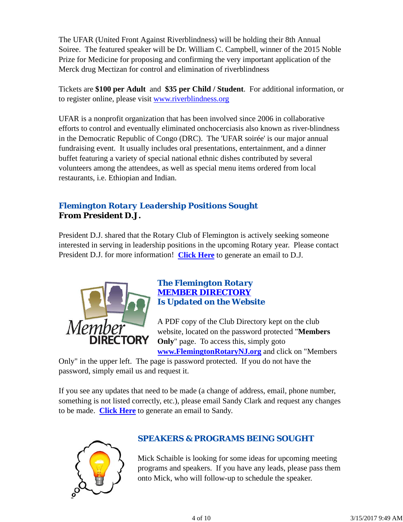The UFAR (United Front Against Riverblindness) will be holding their 8th Annual Soiree. The featured speaker will be Dr. William C. Campbell, winner of the 2015 Noble Prize for Medicine for proposing and confirming the very important application of the Merck drug Mectizan for control and elimination of riverblindness

Tickets are **\$100 per Adult** and **\$35 per Child / Student**. For additional information, or to register online, please visit www.riverblindness.org

UFAR is a nonprofit organization that has been involved since 2006 in collaborative efforts to control and eventually eliminated onchocerciasis also known as river-blindness in the Democratic Republic of Congo (DRC). The 'UFAR soirée' is our major annual fundraising event. It usually includes oral presentations, entertainment, and a dinner buffet featuring a variety of special national ethnic dishes contributed by several volunteers among the attendees, as well as special menu items ordered from local restaurants, i.e. Ethiopian and Indian.

### *Flemington Rotary Leadership Positions Sought* **From President D.J.**

President D.J. shared that the Rotary Club of Flemington is actively seeking someone interested in serving in leadership positions in the upcoming Rotary year. Please contact President D.J. for more information! **Click Here** to generate an email to D.J.



### *The Flemington Rotary MEMBER DIRECTORY Is Updated on the Website*

A PDF copy of the Club Directory kept on the club website, located on the password protected "**Members Only**" page. To access this, simply goto **www.FlemingtonRotaryNJ.org** and click on "Members

Only" in the upper left. The page is password protected. If you do not have the password, simply email us and request it.

If you see any updates that need to be made (a change of address, email, phone number, something is not listed correctly, etc.), please email Sandy Clark and request any changes to be made. **Click Here** to generate an email to Sandy.



## *SPEAKERS & PROGRAMS BEING SOUGHT*

Mick Schaible is looking for some ideas for upcoming meeting programs and speakers. If you have any leads, please pass them onto Mick, who will follow-up to schedule the speaker.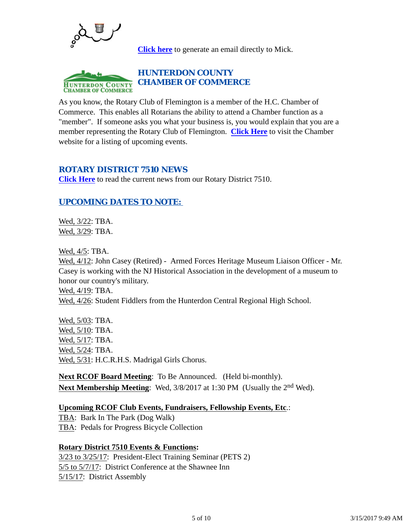

**Click here** to generate an email directly to Mick.

#### *HUNTERDON COUNTY CHAMBER OF COMMERCE* **HUNTERDON COUNTY CHAMBER OF COMMERCE**

As you know, the Rotary Club of Flemington is a member of the H.C. Chamber of Commerce. This enables all Rotarians the ability to attend a Chamber function as a "member". If someone asks you what your business is, you would explain that you are a member representing the Rotary Club of Flemington. **Click Here** to visit the Chamber website for a listing of upcoming events.

#### *ROTARY DISTRICT 7510 NEWS*

**Click Here** to read the current news from our Rotary District 7510.

### *UPCOMING DATES TO NOTE:*

Wed, 3/22: TBA. Wed, 3/29: TBA.

Wed, 4/5: TBA.

Wed, 4/12: John Casey (Retired) - Armed Forces Heritage Museum Liaison Officer - Mr. Casey is working with the NJ Historical Association in the development of a museum to honor our country's military. Wed, 4/19: TBA.

Wed, 4/26: Student Fiddlers from the Hunterdon Central Regional High School.

Wed, 5/03: TBA. Wed, 5/10: TBA. Wed, 5/17: TBA. Wed, 5/24: TBA. Wed, 5/31: H.C.R.H.S. Madrigal Girls Chorus.

**Next RCOF Board Meeting**: To Be Announced. (Held bi-monthly). **Next Membership Meeting**: Wed, 3/8/2017 at 1:30 PM (Usually the 2nd Wed).

#### **Upcoming RCOF Club Events, Fundraisers, Fellowship Events, Etc**.:

TBA: Bark In The Park (Dog Walk) TBA: Pedals for Progress Bicycle Collection

#### **Rotary District 7510 Events & Functions:**

3/23 to 3/25/17: President-Elect Training Seminar (PETS 2) 5/5 to 5/7/17: District Conference at the Shawnee Inn 5/15/17: District Assembly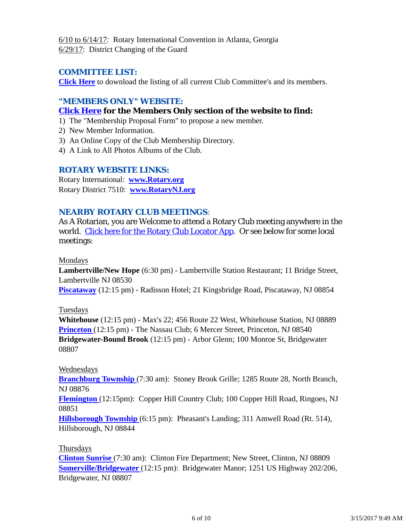6/10 to 6/14/17: Rotary International Convention in Atlanta, Georgia 6/29/17: District Changing of the Guard

#### *COMMITTEE LIST:*

**Click Here** to download the listing of all current Club Committee's and its members.

#### *"MEMBERS ONLY" WEBSITE:*

#### **Click Here for the Members Only section of the website to find:**

- 1) The "Membership Proposal Form" to propose a new member.
- 2) New Member Information.
- 3) An Online Copy of the Club Membership Directory.
- 4) A Link to All Photos Albums of the Club.

#### *ROTARY WEBSITE LINKS:*

Rotary International: **www.Rotary.org** Rotary District 7510: **www.RotaryNJ.org**

#### *NEARBY ROTARY CLUB MEETINGS:*

As A Rotarian, you are Welcome to attend a Rotary Club meeting anywhere in the world. Click here for the Rotary Club Locator App. Or see below for some local meetings:

#### Mondays

**Lambertville/New Hope** (6:30 pm) - Lambertville Station Restaurant; 11 Bridge Street, Lambertville NJ 08530

**Piscataway** (12:15 pm) - Radisson Hotel; 21 Kingsbridge Road, Piscataway, NJ 08854

#### Tuesdays

**Whitehouse** (12:15 pm) - Max's 22; 456 Route 22 West, Whitehouse Station, NJ 08889 **Princeton** (12:15 pm) - The Nassau Club; 6 Mercer Street, Princeton, NJ 08540 **Bridgewater-Bound Brook** (12:15 pm) - Arbor Glenn; 100 Monroe St, Bridgewater 08807

#### Wednesdays

**Branchburg Township** (7:30 am): Stoney Brook Grille; 1285 Route 28, North Branch, NJ 08876

**Flemington** (12:15pm): Copper Hill Country Club; 100 Copper Hill Road, Ringoes, NJ 08851

**Hillsborough Township** (6:15 pm): Pheasant's Landing; 311 Amwell Road (Rt. 514), Hillsborough, NJ 08844

#### Thursdays

**Clinton Sunrise** (7:30 am): Clinton Fire Department; New Street, Clinton, NJ 08809 **Somerville/Bridgewater** (12:15 pm): Bridgewater Manor; 1251 US Highway 202/206, Bridgewater, NJ 08807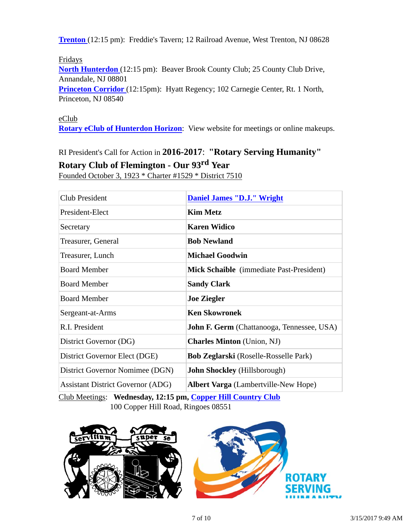**Trenton** (12:15 pm): Freddie's Tavern; 12 Railroad Avenue, West Trenton, NJ 08628

Fridays

**North Hunterdon** (12:15 pm): Beaver Brook County Club; 25 County Club Drive, Annandale, NJ 08801

**Princeton Corridor** (12:15pm): Hyatt Regency; 102 Carnegie Center, Rt. 1 North, Princeton, NJ 08540

#### eClub

**Rotary eClub of Hunterdon Horizon**: View website for meetings or online makeups.

RI President's Call for Action in **2016-2017**: **"Rotary Serving Humanity"**

### **Rotary Club of Flemington - Our 93rd Year**

Founded October 3, 1923 \* Charter #1529 \* District 7510

| <b>Club President</b>                    | <b>Daniel James "D.J." Wright</b>                 |
|------------------------------------------|---------------------------------------------------|
| President-Elect                          | <b>Kim Metz</b>                                   |
| Secretary                                | <b>Karen Widico</b>                               |
| Treasurer, General                       | <b>Bob Newland</b>                                |
| Treasurer, Lunch                         | <b>Michael Goodwin</b>                            |
| <b>Board Member</b>                      | Mick Schaible (immediate Past-President)          |
| <b>Board Member</b>                      | <b>Sandy Clark</b>                                |
| <b>Board Member</b>                      | <b>Joe Ziegler</b>                                |
| Sergeant-at-Arms                         | <b>Ken Skowronek</b>                              |
| R.I. President                           | <b>John F. Germ</b> (Chattanooga, Tennessee, USA) |
| District Governor (DG)                   | <b>Charles Minton</b> (Union, NJ)                 |
| District Governor Elect (DGE)            | <b>Bob Zeglarski</b> (Roselle-Rosselle Park)      |
| District Governor Nomimee (DGN)          | <b>John Shockley</b> (Hillsborough)               |
| <b>Assistant District Governor (ADG)</b> | <b>Albert Varga</b> (Lambertville-New Hope)       |

Club Meetings: **Wednesday, 12:15 pm, Copper Hill Country Club** 100 Copper Hill Road, Ringoes 08551

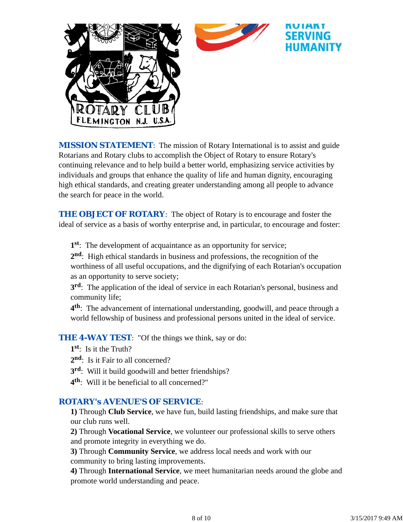

*MISSION STATEMENT*: The mission of Rotary International is to assist and guide Rotarians and Rotary clubs to accomplish the Object of Rotary to ensure Rotary's continuing relevance and to help build a better world, emphasizing service activities by individuals and groups that enhance the quality of life and human dignity, encouraging high ethical standards, and creating greater understanding among all people to advance the search for peace in the world.

**THE OBJECT OF ROTARY:** The object of Rotary is to encourage and foster the ideal of service as a basis of worthy enterprise and, in particular, to encourage and foster:

**1st**: The development of acquaintance as an opportunity for service;

**2nd**: High ethical standards in business and professions, the recognition of the worthiness of all useful occupations, and the dignifying of each Rotarian's occupation as an opportunity to serve society;

**3rd**: The application of the ideal of service in each Rotarian's personal, business and community life;

**4th**: The advancement of international understanding, goodwill, and peace through a world fellowship of business and professional persons united in the ideal of service.

**THE 4-WAY TEST:** "Of the things we think, say or do:

**1st**: Is it the Truth?

- 2<sup>nd</sup>: Is it Fair to all concerned?
- **3rd**: Will it build goodwill and better friendships?
- **4th**: Will it be beneficial to all concerned?"

#### *ROTARY's AVENUE'S OF SERVICE*:

**1)** Through **Club Service**, we have fun, build lasting friendships, and make sure that our club runs well.

**2)** Through **Vocational Service**, we volunteer our professional skills to serve others and promote integrity in everything we do.

**3)** Through **Community Service**, we address local needs and work with our community to bring lasting improvements.

**4)** Through **International Service**, we meet humanitarian needs around the globe and promote world understanding and peace.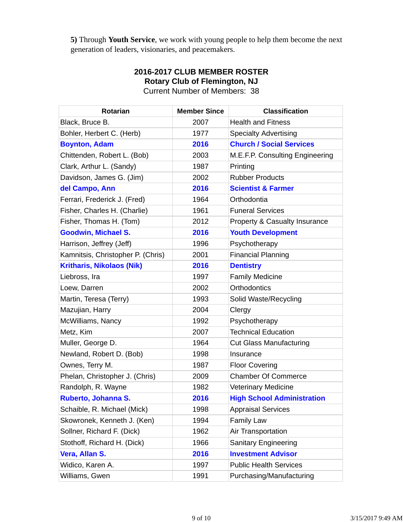**5)** Through **Youth Service**, we work with young people to help them become the next generation of leaders, visionaries, and peacemakers.

| <b>Rotarian</b>                   | <b>Member Since</b> | <b>Classification</b>             |
|-----------------------------------|---------------------|-----------------------------------|
| Black, Bruce B.                   | 2007                | <b>Health and Fitness</b>         |
| Bohler, Herbert C. (Herb)         | 1977                | <b>Specialty Advertising</b>      |
| <b>Boynton, Adam</b>              | 2016                | <b>Church / Social Services</b>   |
| Chittenden, Robert L. (Bob)       | 2003                | M.E.F.P. Consulting Engineering   |
| Clark, Arthur L. (Sandy)          | 1987                | Printing                          |
| Davidson, James G. (Jim)          | 2002                | <b>Rubber Products</b>            |
| del Campo, Ann                    | 2016                | <b>Scientist &amp; Farmer</b>     |
| Ferrari, Frederick J. (Fred)      | 1964                | Orthodontia                       |
| Fisher, Charles H. (Charlie)      | 1961                | <b>Funeral Services</b>           |
| Fisher, Thomas H. (Tom)           | 2012                | Property & Casualty Insurance     |
| <b>Goodwin, Michael S.</b>        | 2016                | <b>Youth Development</b>          |
| Harrison, Jeffrey (Jeff)          | 1996                | Psychotherapy                     |
| Kamnitsis, Christopher P. (Chris) | 2001                | <b>Financial Planning</b>         |
| <b>Kritharis, Nikolaos (Nik)</b>  | 2016                | <b>Dentistry</b>                  |
| Liebross, Ira                     | 1997                | <b>Family Medicine</b>            |
| Loew, Darren                      | 2002                | <b>Orthodontics</b>               |
| Martin, Teresa (Terry)            | 1993                | Solid Waste/Recycling             |
| Mazujian, Harry                   | 2004                | Clergy                            |
| McWilliams, Nancy                 | 1992                | Psychotherapy                     |
| Metz, Kim                         | 2007                | <b>Technical Education</b>        |
| Muller, George D.                 | 1964                | <b>Cut Glass Manufacturing</b>    |
| Newland, Robert D. (Bob)          | 1998                | Insurance                         |
| Ownes, Terry M.                   | 1987                | <b>Floor Covering</b>             |
| Phelan, Christopher J. (Chris)    | 2009                | <b>Chamber Of Commerce</b>        |
| Randolph, R. Wayne                | 1982                | <b>Veterinary Medicine</b>        |
| <b>Ruberto, Johanna S.</b>        | 2016                | <b>High School Administration</b> |
| Schaible, R. Michael (Mick)       | 1998                | <b>Appraisal Services</b>         |
| Skowronek, Kenneth J. (Ken)       | 1994                | <b>Family Law</b>                 |
| Sollner, Richard F. (Dick)        | 1962                | Air Transportation                |
| Stothoff, Richard H. (Dick)       | 1966                | <b>Sanitary Engineering</b>       |
| Vera, Allan S.                    | 2016                | <b>Investment Advisor</b>         |
| Widico, Karen A.                  | 1997                | <b>Public Health Services</b>     |
| Williams, Gwen                    | 1991                | Purchasing/Manufacturing          |

# **2016-2017 CLUB MEMBER ROSTER Rotary Club of Flemington, NJ**

Current Number of Members: 38